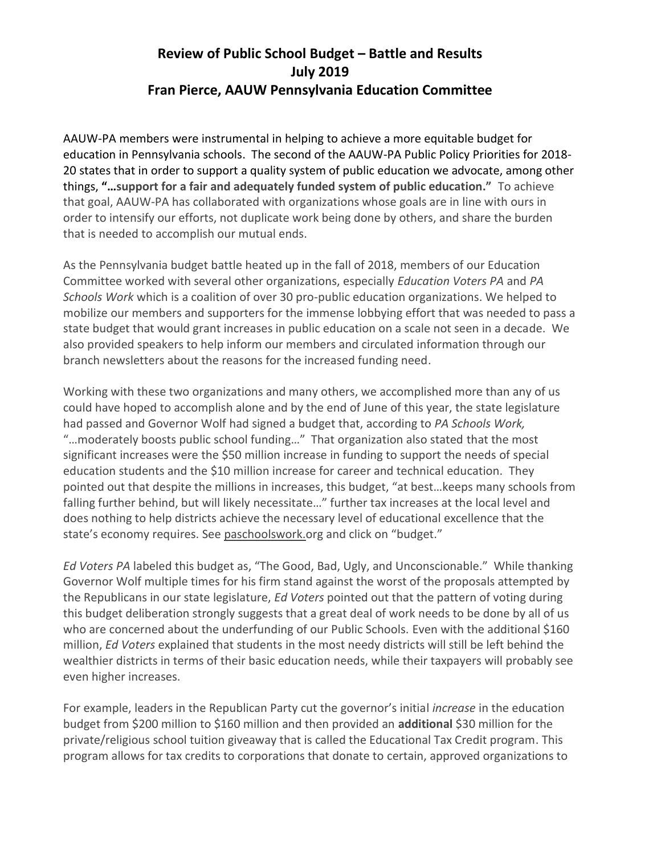## **Review of Public School Budget – Battle and Results July 2019 Fran Pierce, AAUW Pennsylvania Education Committee**

AAUW-PA members were instrumental in helping to achieve a more equitable budget for education in Pennsylvania schools. The second of the AAUW-PA Public Policy Priorities for 2018- 20 states that in order to support a quality system of public education we advocate, among other things, **"…support for a fair and adequately funded system of public education."** To achieve that goal, AAUW-PA has collaborated with organizations whose goals are in line with ours in order to intensify our efforts, not duplicate work being done by others, and share the burden that is needed to accomplish our mutual ends.

As the Pennsylvania budget battle heated up in the fall of 2018, members of our Education Committee worked with several other organizations, especially *Education Voters PA* and *PA Schools Work* which is a coalition of over 30 pro-public education organizations. We helped to mobilize our members and supporters for the immense lobbying effort that was needed to pass a state budget that would grant increases in public education on a scale not seen in a decade. We also provided speakers to help inform our members and circulated information through our branch newsletters about the reasons for the increased funding need.

Working with these two organizations and many others, we accomplished more than any of us could have hoped to accomplish alone and by the end of June of this year, the state legislature had passed and Governor Wolf had signed a budget that, according to *PA Schools Work,*  "…moderately boosts public school funding…" That organization also stated that the most significant increases were the \$50 million increase in funding to support the needs of special education students and the \$10 million increase for career and technical education. They pointed out that despite the millions in increases, this budget, "at best…keeps many schools from falling further behind, but will likely necessitate…" further tax increases at the local level and does nothing to help districts achieve the necessary level of educational excellence that the state's economy requires. See paschoolswork.org and click on "budget."

*Ed Voters PA* labeled this budget as, "The Good, Bad, Ugly, and Unconscionable." While thanking Governor Wolf multiple times for his firm stand against the worst of the proposals attempted by the Republicans in our state legislature, *Ed Voters* pointed out that the pattern of voting during this budget deliberation strongly suggests that a great deal of work needs to be done by all of us who are concerned about the underfunding of our Public Schools. Even with the additional \$160 million, *Ed Voters* explained that students in the most needy districts will still be left behind the wealthier districts in terms of their basic education needs, while their taxpayers will probably see even higher increases.

For example, leaders in the Republican Party cut the governor's initial *increase* in the education budget from \$200 million to \$160 million and then provided an **additional** \$30 million for the private/religious school tuition giveaway that is called the Educational Tax Credit program. This program allows for tax credits to corporations that donate to certain, approved organizations to